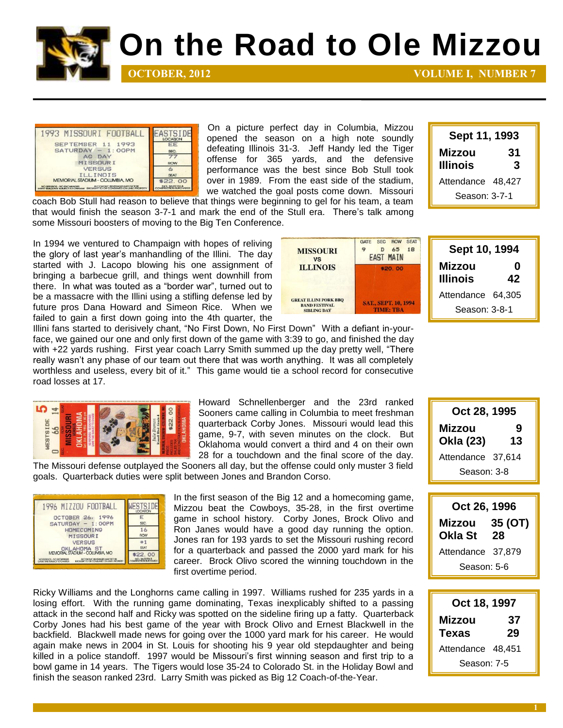

## **On the Road to Ole Mizzou**

**OCTOBER, 2012 VOLUME I, NUMBER 7** 

**Sept 11, 1993 Mizzou 31 Illinois 3** Attendance 48,427 Season: 3-7-1



On a picture perfect day in Columbia, Mizzou opened the season on a high note soundly defeating Illinois 31-3. Jeff Handy led the Tiger offense for 365 yards, and the defensive performance was the best since Bob Stull took over in 1989. From the east side of the stadium, we watched the goal posts come down. Missouri

coach Bob Stull had reason to believe that things were beginning to gel for his team, a team that would finish the season 3-7-1 and mark the end of the Stull era. There's talk among some Missouri boosters of moving to the Big Ten Conference.

In 1994 we ventured to Champaign with hopes of reliving the glory of last year's manhandling of the Illini. The day started with J. Lacopo blowing his one assignment of bringing a barbecue grill, and things went downhill from there. In what was touted as a "border war", turned out to be a massacre with the Illini using a stifling defense led by future pros Dana Howard and Simeon Rice. When we failed to gain a first down going into the 4th quarter, the



**Sept 10, 1994 Mizzou 0 Illinois 42** Attendance 64,305 Season: 3-8-1

Illini fans started to derisively chant, "No First Down, No First Down" With a defiant in-yourface, we gained our one and only first down of the game with 3:39 to go, and finished the day with +22 yards rushing. First year coach Larry Smith summed up the day pretty well, "There really wasn't any phase of our team out there that was worth anything. It was all completely worthless and useless, every bit of it." This game would tie a school record for consecutive road losses at 17.



Howard Schnellenberger and the 23rd ranked Sooners came calling in Columbia to meet freshman quarterback Corby Jones. Missouri would lead this game, 9-7, with seven minutes on the clock. But Oklahoma would convert a third and 4 on their own 28 for a touchdown and the final score of the day.

The Missouri defense outplayed the Sooners all day, but the offense could only muster 3 field goals. Quarterback duties were split between Jones and Brandon Corso.



In the first season of the Big 12 and a homecoming game, Mizzou beat the Cowboys, 35-28, in the first overtime game in school history. Corby Jones, Brock Olivo and Ron Janes would have a good day running the option. Jones ran for 193 yards to set the Missouri rushing record for a quarterback and passed the 2000 yard mark for his career. Brock Olivo scored the winning touchdown in the first overtime period.

Ricky Williams and the Longhorns came calling in 1997. Williams rushed for 235 yards in a losing effort. With the running game dominating, Texas inexplicably shifted to a passing attack in the second half and Ricky was spotted on the sideline firing up a fatty. Quarterback Corby Jones had his best game of the year with Brock Olivo and Ernest Blackwell in the backfield. Blackwell made news for going over the 1000 yard mark for his career. He would again make news in 2004 in St. Louis for shooting his 9 year old stepdaughter and being killed in a police standoff. 1997 would be Missouri's first winning season and first trip to a bowl game in 14 years. The Tigers would lose 35-24 to Colorado St. in the Holiday Bowl and finish the season ranked 23rd. Larry Smith was picked as Big 12 Coach-of-the-Year.

| Oct 28, 1995        |         |
|---------------------|---------|
| Mizzou<br>Okla (23) | 9<br>13 |
| Attendance 37,614   |         |
| Season: 3-8         |         |

| Oct 26, 1996      |               |
|-------------------|---------------|
| Mizzou<br>Okla St | 35 (OT)<br>28 |
| Attendance 37,879 |               |
| Season: 5-6       |               |

**Oct 18, 1997 Mizzou 37 Texas 29** Attendance 48,451 Season: 7-5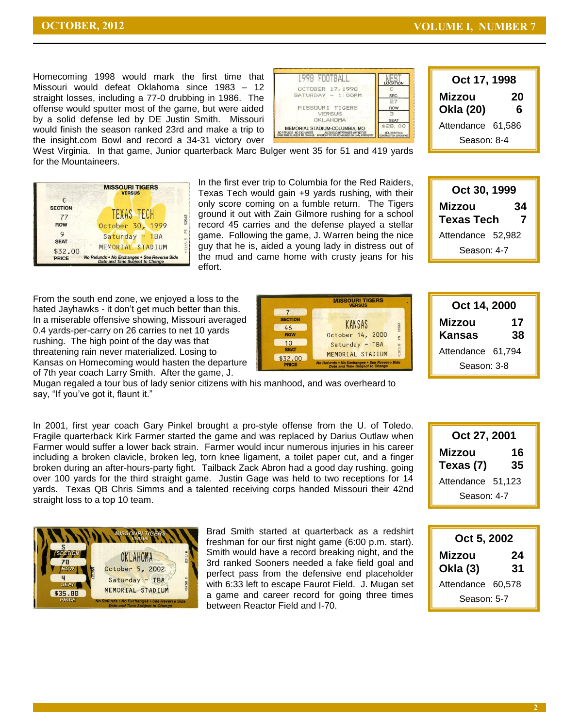**Oct 17, 1998 Mizzou 20 Okla (20) 6** Attendance 61,586 Season: 8-4

Homecoming 1998 would mark the first time that Missouri would defeat Oklahoma since 1983 – 12 straight losses, including a 77-0 drubbing in 1986. The offense would sputter most of the game, but were aided by a solid defense led by DE Justin Smith. Missouri would finish the season ranked 23rd and make a trip to the insight.com Bowl and record a 34-31 victory over

| 1998 FOOTBALL                                                                                                                                                      |                                                        |
|--------------------------------------------------------------------------------------------------------------------------------------------------------------------|--------------------------------------------------------|
| OCTOBER 17, 1998                                                                                                                                                   |                                                        |
| SATURDAY - 1: OOPM                                                                                                                                                 | SEC.                                                   |
|                                                                                                                                                                    | 27                                                     |
| MISSOURI TIGERS                                                                                                                                                    | <b>ROW</b>                                             |
| VERSUS                                                                                                                                                             |                                                        |
| <b>OKLAHOMA</b>                                                                                                                                                    | <b>SEAT</b>                                            |
| MEMORIAL STADIUM-COLUMBIA, MO<br>ALCOHOLIC BEVERAGES MAY NOT BE<br>NO REFUNDS - NO EXCHANGES<br>ME TIME SUBJECT TO CHANGE BROUGHT TO OR CONSUMED ON UNIV. PROPERTY | \$28.00<br>INCL. SALES TAX &<br>CONSTRUCTION SURCHARGE |

West Virginia. In that game, Junior quarterback Marc Bulger went 35 for 51 and 419 yards for the Mountaineers.

|                                                | <b>MISSOURI TIGERS</b><br><b>VERSUS</b>                                                             |        |
|------------------------------------------------|-----------------------------------------------------------------------------------------------------|--------|
| $\Gamma$<br><b>SECTION</b><br>77<br><b>ROW</b> | <b>TEXAS TECH</b><br>October 30, 1999                                                               | 58562  |
| 9<br><b>SEAT</b>                               | Saturday - TBA                                                                                      | E<br>m |
| \$32.00<br><b>PRICE</b>                        | MEMORIAL STADIUM<br>No Refunds . No Exchanges . See Reverse Side<br>Date and Time Subject to Change | 13169  |

In the first ever trip to Columbia for the Red Raiders, Texas Tech would gain +9 yards rushing, with their only score coming on a fumble return. The Tigers ground it out with Zain Gilmore rushing for a school record 45 carries and the defense played a stellar game. Following the game, J. Warren being the nice guy that he is, aided a young lady in distress out of the mud and came home with crusty jeans for his effort.



From the south end zone, we enjoyed a loss to the hated Jayhawks - it don't get much better than this. In a miserable offensive showing, Missouri averaged 0.4 yards-per-carry on 26 carries to net 10 yards rushing. The high point of the day was that threatening rain never materialized. Losing to Kansas on Homecoming would hasten the departure of 7th year coach Larry Smith. After the game, J.



| Oct 14, 2000      |          |
|-------------------|----------|
| Mizzou<br>Kansas  | 17<br>38 |
| Attendance 61,794 |          |
| Season: 3-8       |          |

Mugan regaled a tour bus of lady senior citizens with his manhood, and was overheard to say, "If you've got it, flaunt it."

In 2001, first year coach Gary Pinkel brought a pro-style offense from the U. of Toledo. Fragile quarterback Kirk Farmer started the game and was replaced by Darius Outlaw when Farmer would suffer a lower back strain. Farmer would incur numerous injuries in his career including a broken clavicle, broken leg, torn knee ligament, a toilet paper cut, and a finger broken during an after-hours-party fight. Tailback Zack Abron had a good day rushing, going over 100 yards for the third straight game. Justin Gage was held to two receptions for 14 yards. Texas QB Chris Simms and a talented receiving corps handed Missouri their 42nd straight loss to a top 10 team.

| Oct 27, 2001        |          |
|---------------------|----------|
| Mizzou<br>Texas (7) | 16<br>35 |
| Attendance 51,123   |          |
| Season: 4-7         |          |



Brad Smith started at quarterback as a redshirt freshman for our first night game (6:00 p.m. start). Smith would have a record breaking night, and the 3rd ranked Sooners needed a fake field goal and perfect pass from the defensive end placeholder with 6:33 left to escape Faurot Field. J. Mugan set a game and career record for going three times between Reactor Field and I-70.

| Oct 5, 2002               |          |
|---------------------------|----------|
| Mizzou<br><b>Okla (3)</b> | 24<br>31 |
| Attendance 60,578         |          |
| Season: 5-7               |          |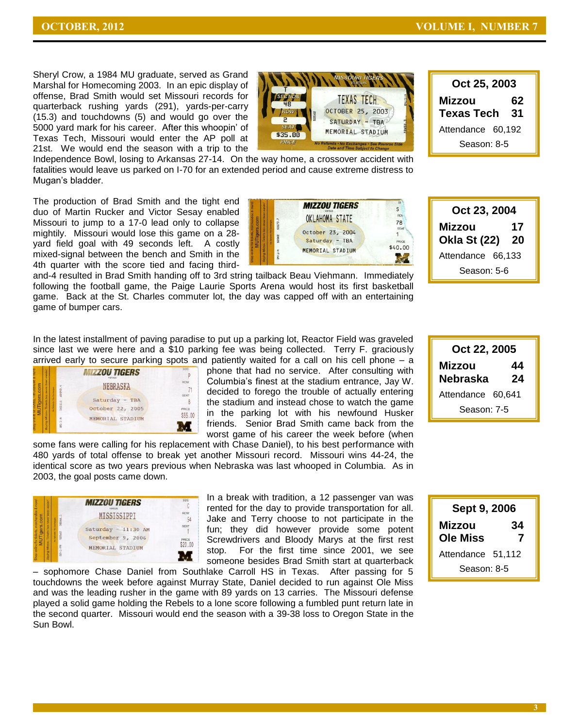**Oct 25, 2003 Mizzou 62 Texas Tech 31** Attendance 60,192 Season: 8-5

Sheryl Crow, a 1984 MU graduate, served as Grand Marshal for Homecoming 2003. In an epic display of offense, Brad Smith would set Missouri records for quarterback rushing yards (291), yards-per-carry (15.3) and touchdowns (5) and would go over the 5000 yard mark for his career. After this whoopin' of Texas Tech, Missouri would enter the AP poll at 21st. We would end the season with a trip to the



Independence Bowl, losing to Arkansas 27-14. On the way home, a crossover accident with fatalities would leave us parked on I-70 for an extended period and cause extreme distress to Mugan's bladder.

The production of Brad Smith and the tight end duo of Martin Rucker and Victor Sesay enabled Missouri to jump to a 17-0 lead only to collapse mightily. Missouri would lose this game on a 28 yard field goal with 49 seconds left. A costly mixed-signal between the bench and Smith in the 4th quarter with the score tied and facing third-

**MIZZOU TIGERS**  $\mathsf{s}$ **ROV** OKLAHOMA STATE 78 October 23, 2004 1 Saturday - TBA PRICE \$40.00 MEMORIAL STADIUM  $\leq$ 

**Oct 23, 2004 Mizzou 17 Okla St (22) 20** Attendance 66,133 Season: 5-6

and-4 resulted in Brad Smith handing off to 3rd string tailback Beau Viehmann. Immediately following the football game, the Paige Laurie Sports Arena would host its first basketball game. Back at the St. Charles commuter lot, the day was capped off with an entertaining game of bumper cars.

In the latest installment of paving paradise to put up a parking lot, Reactor Field was graveled since last we were here and a \$10 parking fee was being collected. Terry F. graciously arrived early to secure parking spots and patiently waited for a call on his cell phone – a



phone that had no service. After consulting with Columbia's finest at the stadium entrance, Jay W. decided to forego the trouble of actually entering the stadium and instead chose to watch the game in the parking lot with his newfound Husker friends. Senior Brad Smith came back from the worst game of his career the week before (when

some fans were calling for his replacement with Chase Daniel), to his best performance with 480 yards of total offense to break yet another Missouri record. Missouri wins 44-24, the identical score as two years previous when Nebraska was last whooped in Columbia. As in 2003, the goal posts came down.



In a break with tradition, a 12 passenger van was rented for the day to provide transportation for all. Jake and Terry choose to not participate in the fun; they did however provide some potent Screwdrivers and Bloody Marys at the first rest stop. For the first time since 2001, we see someone besides Brad Smith start at quarterback

– sophomore Chase Daniel from Southlake Carroll HS in Texas. After passing for 5 touchdowns the week before against Murray State, Daniel decided to run against Ole Miss and was the leading rusher in the game with 89 yards on 13 carries. The Missouri defense played a solid game holding the Rebels to a lone score following a fumbled punt return late in the second quarter. Missouri would end the season with a 39-38 loss to Oregon State in the Sun Bowl.

| Oct 22, 2005      |    |
|-------------------|----|
| Mizzou<br>44      |    |
| Nebraska          | 24 |
| Attendance 60,641 |    |
| Season: 7-5       |    |

| Sept 9, 2006              |         |
|---------------------------|---------|
| Mizzou<br><b>Ole Miss</b> | 34<br>7 |
| Attendance 51,112         |         |
| Season: 8-5               |         |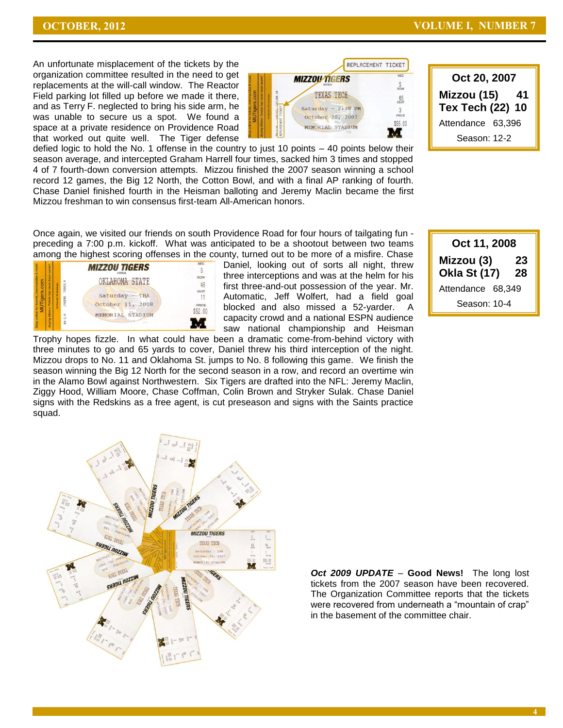**Oct 20, 2007 Mizzou (15) 41 Tex Tech (22) 10** Attendance 63,396 Season: 12-2

An unfortunate misplacement of the tickets by the organization committee resulted in the need to get replacements at the will-call window. The Reactor Field parking lot filled up before we made it there, and as Terry F. neglected to bring his side arm, he was unable to secure us a spot. We found a space at a private residence on Providence Road that worked out quite well. The Tiger defense



defied logic to hold the No. 1 offense in the country to just 10 points – 40 points below their season average, and intercepted Graham Harrell four times, sacked him 3 times and stopped 4 of 7 fourth-down conversion attempts. Mizzou finished the 2007 season winning a school record 12 games, the Big 12 North, the Cotton Bowl, and with a final AP ranking of fourth. Chase Daniel finished fourth in the Heisman balloting and Jeremy Maclin became the first Mizzou freshman to win consensus first-team All-American honors.

Once again, we visited our friends on south Providence Road for four hours of tailgating fun preceding a 7:00 p.m. kickoff. What was anticipated to be a shootout between two teams among the highest scoring offenses in the county, turned out to be more of a misfire. Chase



Daniel, looking out of sorts all night, threw three interceptions and was at the helm for his first three-and-out possession of the year. Mr. Automatic, Jeff Wolfert, had a field goal blocked and also missed a 52-yarder. A capacity crowd and a national ESPN audience saw national championship and Heisman

Trophy hopes fizzle. In what could have been a dramatic come-from-behind victory with three minutes to go and 65 yards to cover, Daniel threw his third interception of the night. Mizzou drops to No. 11 and Oklahoma St. jumps to No. 8 following this game. We finish the season winning the Big 12 North for the second season in a row, and record an overtime win in the Alamo Bowl against Northwestern. Six Tigers are drafted into the NFL: Jeremy Maclin, Ziggy Hood, William Moore, Chase Coffman, Colin Brown and Stryker Sulak. Chase Daniel signs with the Redskins as a free agent, is cut preseason and signs with the Saints practice squad.





*Oct 2009 UPDATE* – **Good News!** The long lost tickets from the 2007 season have been recovered. The Organization Committee reports that the tickets were recovered from underneath a "mountain of crap" in the basement of the committee chair.